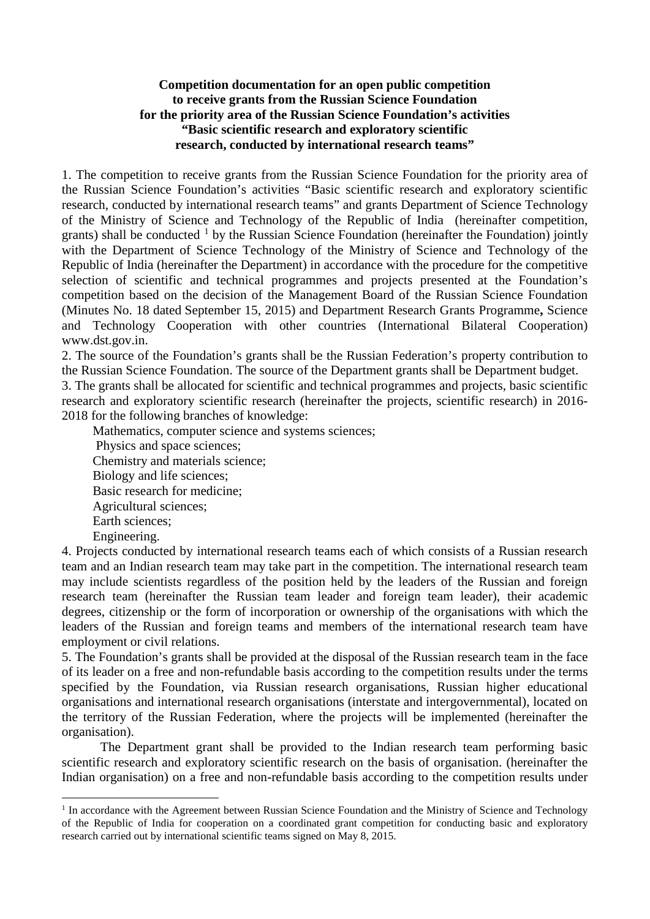#### **Competition documentation for an open public competition to receive grants from the Russian Science Foundation for the priority area of the Russian Science Foundation's activities "Basic scientific research and exploratory scientific research, conducted by international research teams"**

1. The competition to receive grants from the Russian Science Foundation for the priority area of the Russian Science Foundation's activities "Basic scientific research and exploratory scientific research, conducted by international research teams" and grants Department of Science Technology of the Ministry of Science and Technology of the Republic of India (hereinafter competition, grants) shall be conducted  $\frac{1}{1}$  $\frac{1}{1}$  $\frac{1}{1}$  by the Russian Science Foundation (hereinafter the Foundation) jointly with the Department of Science Technology of the Ministry of Science and Technology of the Republic of India (hereinafter the Department) in accordance with the procedure for the competitive selection of scientific and technical programmes and projects presented at the Foundation's competition based on the decision of the Management Board of the Russian Science Foundation (Minutes No. 18 dated September 15, 2015) and Department [Research Grants Programme](http://dfg.de/en/research_funding/programmes/individual/research_grants/in_brief/index.html)**,** Science and Technology Cooperation with other countries (International Bilateral Cooperation) www.dst.gov.in.

2. The source of the Foundation's grants shall be the Russian Federation's property contribution to the Russian Science Foundation. The source of the Department grants shall be Department budget.

3. The grants shall be allocated for scientific and technical programmes and projects, basic scientific research and exploratory scientific research (hereinafter the projects, scientific research) in 2016- 2018 for the following branches of knowledge:

Mathematics, computer science and systems sciences; Physics and space sciences; Chemistry and materials science; Biology and life sciences; Basic research for medicine; Agricultural sciences; Earth sciences; Engineering.

-

4. Projects conducted by international research teams each of which consists of a Russian research team and an Indian research team may take part in the competition. The international research team may include scientists regardless of the position held by the leaders of the Russian and foreign research team (hereinafter the Russian team leader and foreign team leader), their academic degrees, citizenship or the form of incorporation or ownership of the organisations with which the leaders of the Russian and foreign teams and members of the international research team have employment or civil relations.

5. The Foundation's grants shall be provided at the disposal of the Russian research team in the face of its leader on a free and non-refundable basis according to the competition results under the terms specified by the Foundation, via Russian research organisations, Russian higher educational organisations and international research organisations (interstate and intergovernmental), located on the territory of the Russian Federation, where the projects will be implemented (hereinafter the organisation).

The Department grant shall be provided to the Indian research team performing basic scientific research and exploratory scientific research on the basis of organisation. (hereinafter the Indian organisation) on a free and non-refundable basis according to the competition results under

<span id="page-0-0"></span> $<sup>1</sup>$  In accordance with the Agreement between Russian Science Foundation and the Ministry of Science and Technology</sup> of the Republic of India for cooperation on a coordinated grant competition for conducting basic and exploratory research carried out by international scientific teams signed on May 8, 2015.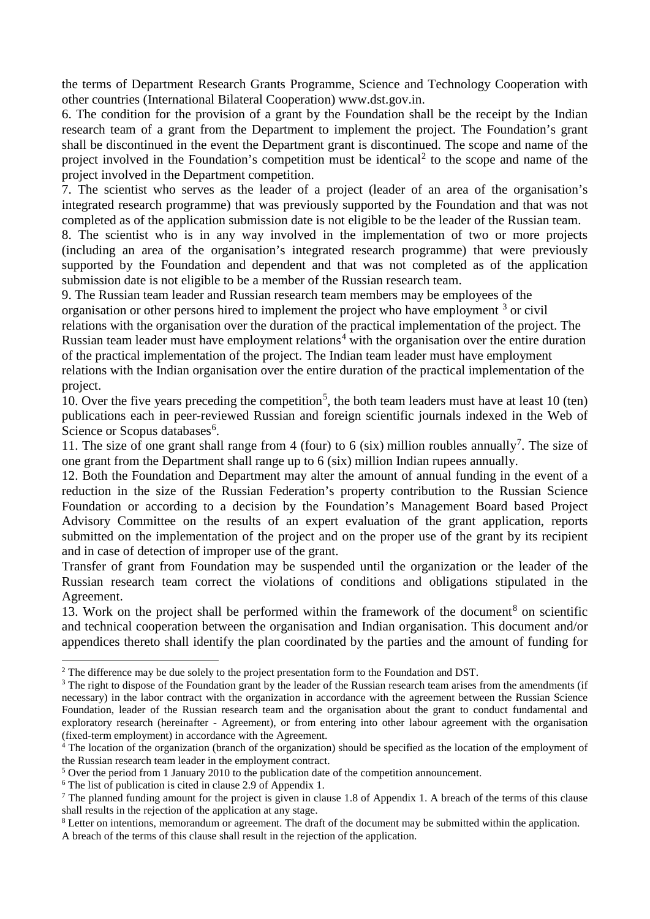the terms of Department Research Grants Programme, Science and Technology Cooperation with other countries (International Bilateral Cooperation) www.dst.gov.in.

6. The condition for the provision of a grant by the Foundation shall be the receipt by the Indian research team of a grant from the Department to implement the project. The Foundation's grant shall be discontinued in the event the Department grant is discontinued. The scope and name of the project involved in the Foundation's competition must be identical<sup>[2](#page-1-0)</sup> to the scope and name of the project involved in the Department competition.

7. The scientist who serves as the leader of a project (leader of an area of the organisation's integrated research programme) that was previously supported by the Foundation and that was not completed as of the application submission date is not eligible to be the leader of the Russian team.

8. The scientist who is in any way involved in the implementation of two or more projects (including an area of the organisation's integrated research programme) that were previously supported by the Foundation and dependent and that was not completed as of the application submission date is not eligible to be a member of the Russian research team.

9. The Russian team leader and Russian research team members may be employees of the organisation or other persons hired to implement the project who have employment  $3$  or civil

relations with the organisation over the duration of the practical implementation of the project. The Russian team leader must have employment relations<sup>[4](#page-1-2)</sup> with the organisation over the entire duration of the practical implementation of the project. The Indian team leader must have employment

relations with the Indian organisation over the entire duration of the practical implementation of the project.

10. Over the five years preceding the competition<sup>[5](#page-1-3)</sup>, the both team leaders must have at least 10 (ten) publications each in peer-reviewed Russian and foreign scientific journals indexed in the Web of Science or Scopus databases<sup>[6](#page-1-4)</sup>.

11. The size of one grant shall range from 4 (four) to 6 (six) million roubles annually<sup>[7](#page-1-5)</sup>. The size of one grant from the Department shall range up to 6 (six) million Indian rupees annually.

12. Both the Foundation and Department may alter the amount of annual funding in the event of a reduction in the size of the Russian Federation's property contribution to the Russian Science Foundation or according to a decision by the Foundation's Management Board based Project Advisory Committee on the results of an expert evaluation of the grant application, reports submitted on the implementation of the project and on the proper use of the grant by its recipient and in case of detection of improper use of the grant.

Transfer of grant from Foundation may be suspended until the organization or the leader of the Russian research team correct the violations of conditions and obligations stipulated in the Agreement.

13. Work on the project shall be performed within the framework of the document<sup>[8](#page-1-6)</sup> on scientific and technical cooperation between the organisation and Indian organisation. This document and/or appendices thereto shall identify the plan coordinated by the parties and the amount of funding for

<span id="page-1-0"></span><sup>&</sup>lt;sup>2</sup> The difference may be due solely to the project presentation form to the Foundation and DST.

<span id="page-1-1"></span><sup>&</sup>lt;sup>3</sup> The right to dispose of the Foundation grant by the leader of the Russian research team arises from the amendments (if necessary) in the labor contract with the organization in accordance with the agreement between the Russian Science Foundation, leader of the Russian research team and the organisation about the grant to conduct fundamental and exploratory research (hereinafter - Agreement), or from entering into other labour agreement with the organisation (fixed-term employment) in accordance with the Agreement.

<span id="page-1-2"></span><sup>4</sup> The location of the organization (branch of the organization) should be specified as the location of the employment of the Russian research team leader in the employment contract.

<span id="page-1-3"></span><sup>&</sup>lt;sup>5</sup> Over the period from 1 January 2010 to the publication date of the competition announcement.

<span id="page-1-4"></span><sup>6</sup> The list of publication is cited in clause 2.9 of Appendix 1.

<span id="page-1-5"></span><sup>&</sup>lt;sup>7</sup> The planned funding amount for the project is given in clause 1.8 of Appendix 1. A breach of the terms of this clause shall results in the rejection of the application at any stage.

<span id="page-1-6"></span><sup>8</sup> Letter on intentions, memorandum or agreement. The draft of the document may be submitted within the application. A breach of the terms of this clause shall result in the rejection of the application.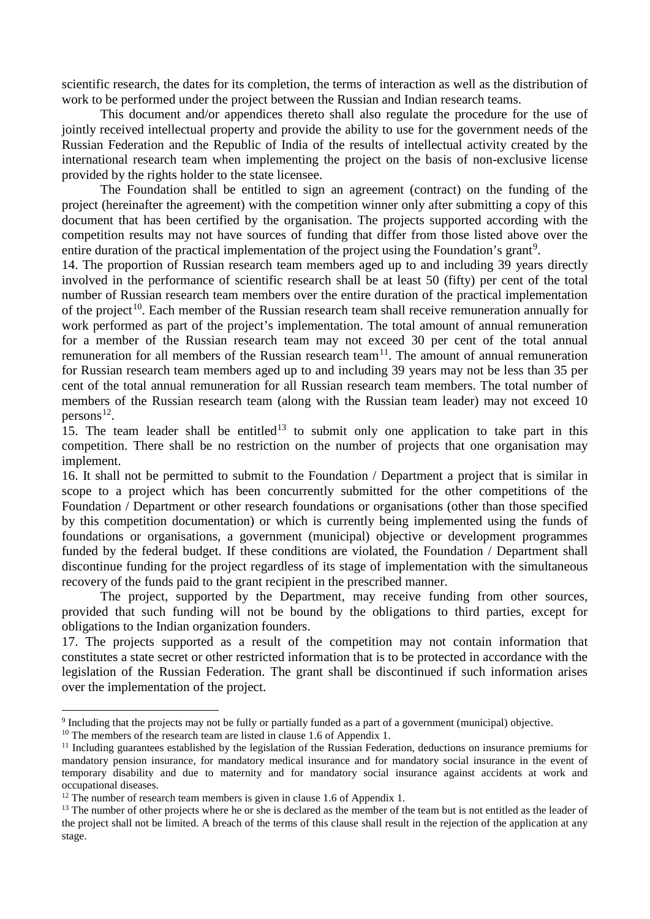scientific research, the dates for its completion, the terms of interaction as well as the distribution of work to be performed under the project between the Russian and Indian research teams.

This document and/or appendices thereto shall also regulate the procedure for the use of jointly received intellectual property and provide the ability to use for the government needs of the Russian Federation and the Republic of India of the results of intellectual activity created by the international research team when implementing the project on the basis of non-exclusive license provided by the rights holder to the state licensee.

The Foundation shall be entitled to sign an agreement (contract) on the funding of the project (hereinafter the agreement) with the competition winner only after submitting a copy of this document that has been certified by the organisation. The projects supported according with the competition results may not have sources of funding that differ from those listed above over the entire duration of the practical implementation of the project using the Foundation's grant<sup>[9](#page-2-0)</sup>.

14. The proportion of Russian research team members aged up to and including 39 years directly involved in the performance of scientific research shall be at least 50 (fifty) per cent of the total number of Russian research team members over the entire duration of the practical implementation of the project<sup>10</sup>. Each member of the Russian research team shall receive remuneration annually for work performed as part of the project's implementation. The total amount of annual remuneration for a member of the Russian research team may not exceed 30 per cent of the total annual remuneration for all members of the Russian research team<sup>11</sup>. The amount of annual remuneration for Russian research team members aged up to and including 39 years may not be less than 35 per cent of the total annual remuneration for all Russian research team members. The total number of members of the Russian research team (along with the Russian team leader) may not exceed 10 persons<sup>[12](#page-2-3)</sup>.

15. The team leader shall be entitled<sup>[13](#page-2-4)</sup> to submit only one application to take part in this competition. There shall be no restriction on the number of projects that one organisation may implement.

16. It shall not be permitted to submit to the Foundation / Department a project that is similar in scope to a project which has been concurrently submitted for the other competitions of the Foundation / Department or other research foundations or organisations (other than those specified by this competition documentation) or which is currently being implemented using the funds of foundations or organisations, a government (municipal) objective or development programmes funded by the federal budget. If these conditions are violated, the Foundation / Department shall discontinue funding for the project regardless of its stage of implementation with the simultaneous recovery of the funds paid to the grant recipient in the prescribed manner.

The project, supported by the Department, may receive funding from other sources, provided that such funding will not be bound by the obligations to third parties, except for obligations to the Indian organization founders.

17. The projects supported as a result of the competition may not contain information that constitutes a state secret or other restricted information that is to be protected in accordance with the legislation of the Russian Federation. The grant shall be discontinued if such information arises over the implementation of the project.

<span id="page-2-0"></span><sup>9</sup> Including that the projects may not be fully or partially funded as a part of a government (municipal) objective.

<span id="page-2-1"></span><sup>&</sup>lt;sup>10</sup> The members of the research team are listed in clause 1.6 of Appendix 1.

<span id="page-2-2"></span> $11$  Including guarantees established by the legislation of the Russian Federation, deductions on insurance premiums for mandatory pension insurance, for mandatory medical insurance and for mandatory social insurance in the event of temporary disability and due to maternity and for mandatory social insurance against accidents at work and occupational diseases.

<span id="page-2-3"></span><sup>&</sup>lt;sup>12</sup> The number of research team members is given in clause 1.6 of Appendix 1.

<span id="page-2-4"></span><sup>&</sup>lt;sup>13</sup> The number of other projects where he or she is declared as the member of the team but is not entitled as the leader of the project shall not be limited. A breach of the terms of this clause shall result in the rejection of the application at any stage.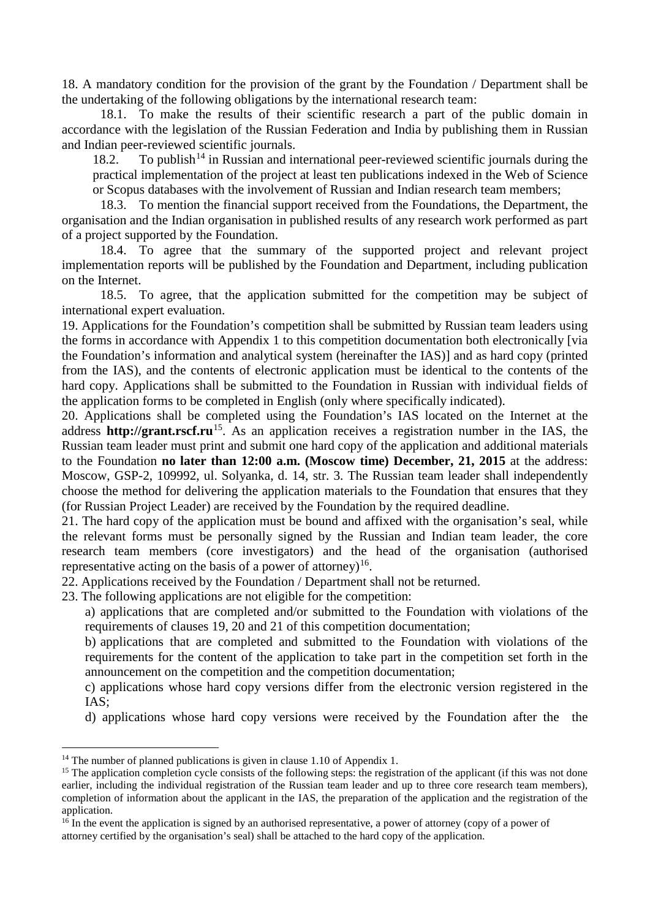18. A mandatory condition for the provision of the grant by the Foundation / Department shall be the undertaking of the following obligations by the international research team:

18.1. To make the results of their scientific research a part of the public domain in accordance with the legislation of the Russian Federation and India by publishing them in Russian and Indian peer-reviewed scientific journals.

18.2. To publish<sup>[14](#page-3-0)</sup> in Russian and international peer-reviewed scientific journals during the practical implementation of the project at least ten publications indexed in the Web of Science or Scopus databases with the involvement of Russian and Indian research team members;

18.3. To mention the financial support received from the Foundations, the Department, the organisation and the Indian organisation in published results of any research work performed as part of a project supported by the Foundation.

18.4. To agree that the summary of the supported project and relevant project implementation reports will be published by the Foundation and Department, including publication on the Internet.

18.5. To agree, that the application submitted for the competition may be subject of international expert evaluation.

19. Applications for the Foundation's competition shall be submitted by Russian team leaders using the forms in accordance with Appendix 1 to this competition documentation both electronically [via the Foundation's information and analytical system (hereinafter the IAS)] and as hard copy (printed from the IAS), and the contents of electronic application must be identical to the contents of the hard copy. Applications shall be submitted to the Foundation in Russian with individual fields of the application forms to be completed in English (only where specifically indicated).

20. Applications shall be completed using the Foundation's IAS located on the Internet at the address **[http://grant.rscf.ru](http://grant.rscf.ru/)**<sup>15</sup>. As an application receives a registration number in the IAS, the Russian team leader must print and submit one hard copy of the application and additional materials to the Foundation **no later than 12:00 a.m. (Moscow time) December, 21, 2015** at the address: Moscow, GSP-2, 109992, ul. Solyanka, d. 14, str. 3. The Russian team leader shall independently choose the method for delivering the application materials to the Foundation that ensures that they (for Russian Project Leader) are received by the Foundation by the required deadline.

21. The hard copy of the application must be bound and affixed with the organisation's seal, while the relevant forms must be personally signed by the Russian and Indian team leader, the core research team members (core investigators) and the head of the organisation (authorised representative acting on the basis of a power of attorney)<sup>[16](#page-3-2)</sup>.

22. Applications received by the Foundation / Department shall not be returned.

23. The following applications are not eligible for the competition:

a) applications that are completed and/or submitted to the Foundation with violations of the requirements of clauses 19, 20 and 21 of this competition documentation;

b) applications that are completed and submitted to the Foundation with violations of the requirements for the content of the application to take part in the competition set forth in the announcement on the competition and the competition documentation;

c) applications whose hard copy versions differ from the electronic version registered in the IAS;

d) applications whose hard copy versions were received by the Foundation after the the

<span id="page-3-0"></span><sup>&</sup>lt;sup>14</sup> The number of planned publications is given in clause 1.10 of Appendix 1.

<span id="page-3-1"></span><sup>&</sup>lt;sup>15</sup> The application completion cycle consists of the following steps: the registration of the applicant (if this was not done earlier, including the individual registration of the Russian team leader and up to three core research team members), completion of information about the applicant in the IAS, the preparation of the application and the registration of the application.

<span id="page-3-2"></span> $16$  In the event the application is signed by an authorised representative, a power of attorney (copy of a power of attorney certified by the organisation's seal) shall be attached to the hard copy of the application.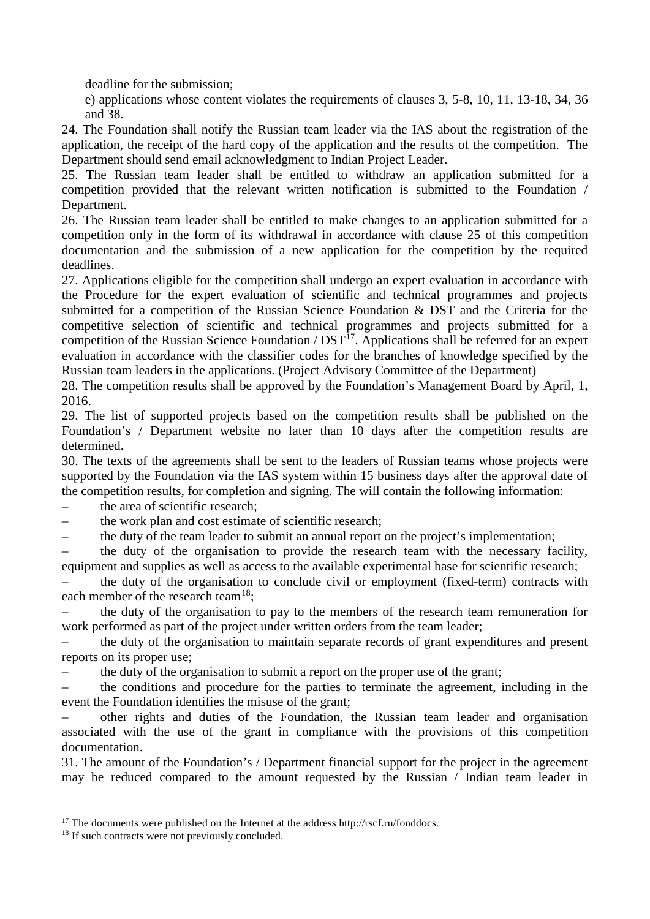deadline for the submission;

e) applications whose content violates the requirements of clauses 3, 5-8, 10, 11, 13-18, 34, 36 and 38.

24. The Foundation shall notify the Russian team leader via the IAS about the registration of the application, the receipt of the hard copy of the application and the results of the competition. The Department should send email acknowledgment to Indian Project Leader.

25. The Russian team leader shall be entitled to withdraw an application submitted for a competition provided that the relevant written notification is submitted to the Foundation / Department.

26. The Russian team leader shall be entitled to make changes to an application submitted for a competition only in the form of its withdrawal in accordance with clause 25 of this competition documentation and the submission of a new application for the competition by the required deadlines.

27. Applications eligible for the competition shall undergo an expert evaluation in accordance with the Procedure for the expert evaluation of scientific and technical programmes and projects submitted for a competition of the Russian Science Foundation & DST and the Criteria for the competitive selection of scientific and technical programmes and projects submitted for a competition of the Russian Science Foundation / DST<sup>[17](#page-4-0)</sup>. Applications shall be referred for an expert evaluation in accordance with the classifier codes for the branches of knowledge specified by the Russian team leaders in the applications. (Project Advisory Committee of the Department)

28. The competition results shall be approved by the Foundation's Management Board by April, 1, 2016.

29. The list of supported projects based on the competition results shall be published on the Foundation's / Department website no later than 10 days after the competition results are determined.

30. The texts of the agreements shall be sent to the leaders of Russian teams whose projects were supported by the Foundation via the IAS system within 15 business days after the approval date of the competition results, for completion and signing. The will contain the following information:

– the area of scientific research;

the work plan and cost estimate of scientific research;

– the duty of the team leader to submit an annual report on the project's implementation;

the duty of the organisation to provide the research team with the necessary facility, equipment and supplies as well as access to the available experimental base for scientific research;

– the duty of the organisation to conclude civil or employment (fixed-term) contracts with each member of the research team<sup>18</sup>;

– the duty of the organisation to pay to the members of the research team remuneration for work performed as part of the project under written orders from the team leader;

– the duty of the organisation to maintain separate records of grant expenditures and present reports on its proper use;

– the duty of the organisation to submit a report on the proper use of the grant;

– the conditions and procedure for the parties to terminate the agreement, including in the event the Foundation identifies the misuse of the grant;

– other rights and duties of the Foundation, the Russian team leader and organisation associated with the use of the grant in compliance with the provisions of this competition documentation.

31. The amount of the Foundation's / Department financial support for the project in the agreement may be reduced compared to the amount requested by the Russian / Indian team leader in

<span id="page-4-0"></span><sup>&</sup>lt;sup>17</sup> The documents were published on the Internet at the address http://rscf.ru/fonddocs.

<span id="page-4-1"></span><sup>&</sup>lt;sup>18</sup> If such contracts were not previously concluded.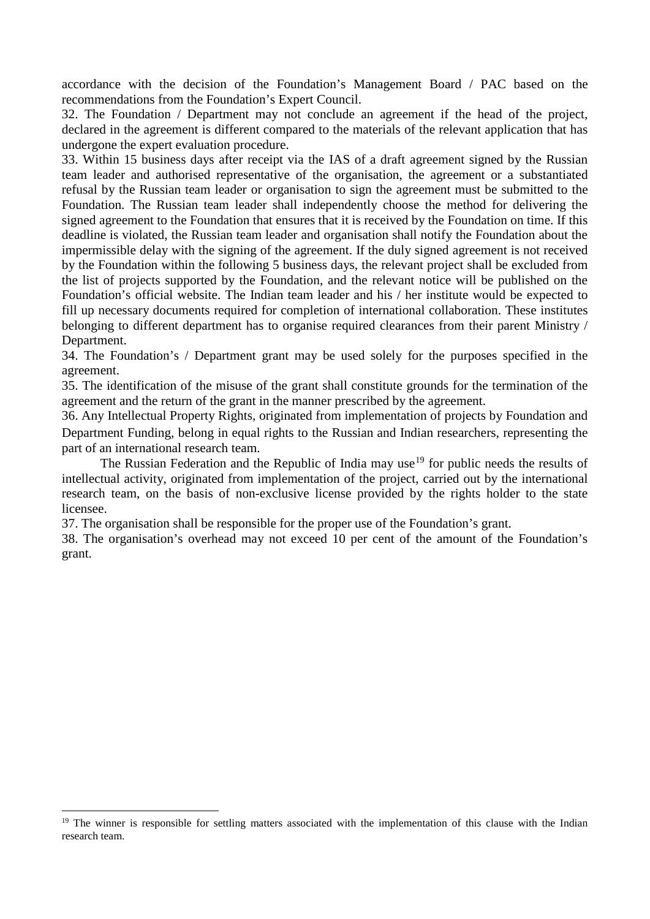accordance with the decision of the Foundation's Management Board / PAC based on the recommendations from the Foundation's Expert Council.

32. The Foundation / Department may not conclude an agreement if the head of the project, declared in the agreement is different compared to the materials of the relevant application that has undergone the expert evaluation procedure.

33. Within 15 business days after receipt via the IAS of a draft agreement signed by the Russian team leader and authorised representative of the organisation, the agreement or a substantiated refusal by the Russian team leader or organisation to sign the agreement must be submitted to the Foundation. The Russian team leader shall independently choose the method for delivering the signed agreement to the Foundation that ensures that it is received by the Foundation on time. If this deadline is violated, the Russian team leader and organisation shall notify the Foundation about the impermissible delay with the signing of the agreement. If the duly signed agreement is not received by the Foundation within the following 5 business days, the relevant project shall be excluded from the list of projects supported by the Foundation, and the relevant notice will be published on the Foundation's official website. The Indian team leader and his / her institute would be expected to fill up necessary documents required for completion of international collaboration. These institutes belonging to different department has to organise required clearances from their parent Ministry / Department.

34. The Foundation's / Department grant may be used solely for the purposes specified in the agreement.

35. The identification of the misuse of the grant shall constitute grounds for the termination of the agreement and the return of the grant in the manner prescribed by the agreement.

36. Any Intellectual Property Rights, originated from implementation of projects by Foundation and Department Funding*,* belong in equal rights to the Russian and Indian researchers, representing the part of an international research team.

The Russian Federation and the Republic of India may use<sup>[19](#page-5-0)</sup> for public needs the results of intellectual activity, originated from implementation of the project, carried out by the international research team, on the basis of non-exclusive license provided by the rights holder to the state licensee.

37. The organisation shall be responsible for the proper use of the Foundation's grant.

38. The organisation's overhead may not exceed 10 per cent of the amount of the Foundation's grant.

<span id="page-5-0"></span><sup>&</sup>lt;sup>19</sup> The winner is responsible for settling matters associated with the implementation of this clause with the Indian research team.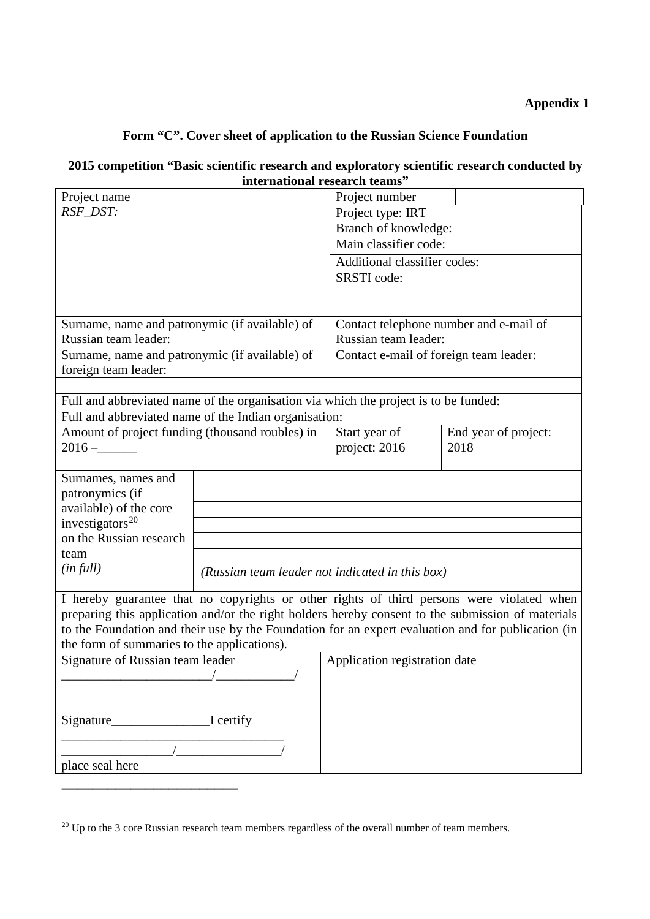# **Appendix 1**

# **Form "C". Cover sheet of application to the Russian Science Foundation**

## **2015 competition "Basic scientific research and exploratory scientific research conducted by international research teams"**

| Project name                                                                                                              |                                                                                      | Project number                         |                              |  |
|---------------------------------------------------------------------------------------------------------------------------|--------------------------------------------------------------------------------------|----------------------------------------|------------------------------|--|
| RSF_DST:                                                                                                                  |                                                                                      | Project type: IRT                      |                              |  |
|                                                                                                                           |                                                                                      | Branch of knowledge:                   |                              |  |
|                                                                                                                           |                                                                                      | Main classifier code:                  |                              |  |
|                                                                                                                           |                                                                                      | Additional classifier codes:           |                              |  |
|                                                                                                                           |                                                                                      | SRSTI code:                            |                              |  |
|                                                                                                                           |                                                                                      |                                        |                              |  |
|                                                                                                                           |                                                                                      |                                        |                              |  |
| Surname, name and patronymic (if available) of                                                                            |                                                                                      | Contact telephone number and e-mail of |                              |  |
| Russian team leader:                                                                                                      |                                                                                      | Russian team leader:                   |                              |  |
| Surname, name and patronymic (if available) of                                                                            |                                                                                      | Contact e-mail of foreign team leader: |                              |  |
| foreign team leader:                                                                                                      |                                                                                      |                                        |                              |  |
|                                                                                                                           |                                                                                      |                                        |                              |  |
|                                                                                                                           | Full and abbreviated name of the organisation via which the project is to be funded: |                                        |                              |  |
| Full and abbreviated name of the Indian organisation:<br>Amount of project funding (thousand roubles) in<br>Start year of |                                                                                      |                                        |                              |  |
| $2016 -$                                                                                                                  |                                                                                      | project: 2016                          | End year of project:<br>2018 |  |
|                                                                                                                           |                                                                                      |                                        |                              |  |
| Surnames, names and                                                                                                       |                                                                                      |                                        |                              |  |
| patronymics (if                                                                                                           |                                                                                      |                                        |                              |  |
| available) of the core                                                                                                    |                                                                                      |                                        |                              |  |
| investigators <sup>20</sup>                                                                                               |                                                                                      |                                        |                              |  |
| on the Russian research                                                                                                   |                                                                                      |                                        |                              |  |
| team                                                                                                                      |                                                                                      |                                        |                              |  |
| (infull)                                                                                                                  | (Russian team leader not indicated in this box)                                      |                                        |                              |  |
|                                                                                                                           |                                                                                      |                                        |                              |  |
| I hereby guarantee that no copyrights or other rights of third persons were violated when                                 |                                                                                      |                                        |                              |  |
| preparing this application and/or the right holders hereby consent to the submission of materials                         |                                                                                      |                                        |                              |  |
| to the Foundation and their use by the Foundation for an expert evaluation and for publication (in                        |                                                                                      |                                        |                              |  |
| the form of summaries to the applications).<br>Application registration date<br>Signature of Russian team leader          |                                                                                      |                                        |                              |  |
|                                                                                                                           |                                                                                      |                                        |                              |  |
|                                                                                                                           |                                                                                      |                                        |                              |  |
|                                                                                                                           |                                                                                      |                                        |                              |  |
|                                                                                                                           |                                                                                      |                                        |                              |  |
|                                                                                                                           |                                                                                      |                                        |                              |  |
|                                                                                                                           |                                                                                      |                                        |                              |  |
| place seal here                                                                                                           |                                                                                      |                                        |                              |  |
|                                                                                                                           |                                                                                      |                                        |                              |  |

<span id="page-6-0"></span> $20 \text{ Up}$  to the 3 core Russian research team members regardless of the overall number of team members.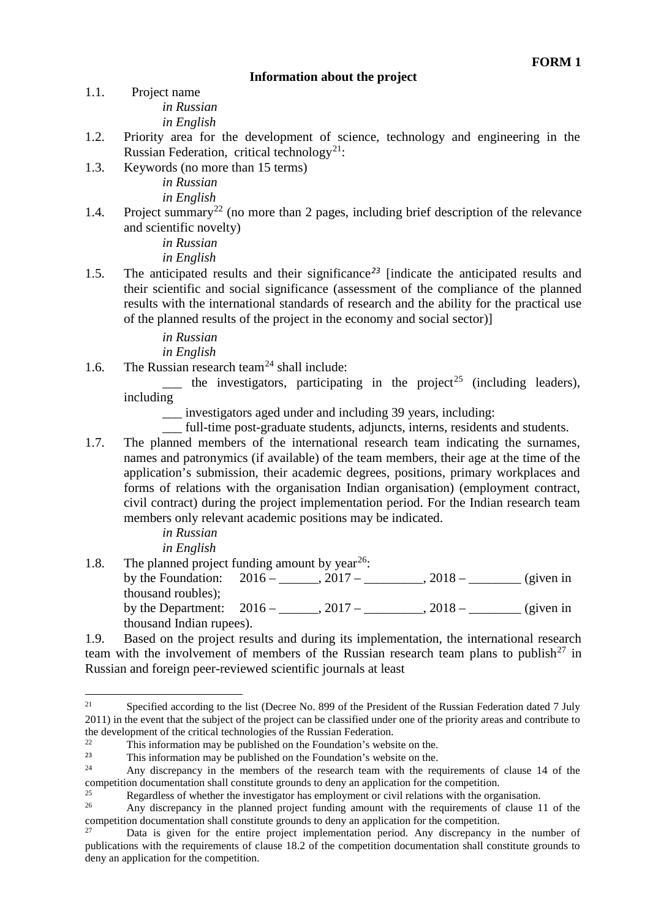#### **Information about the project**

- 1.1. Project name *in Russian in English*
- 1.2. Priority area for the development of science, technology and engineering in the Russian Federation, critical technology<sup>21</sup>:
- 1.3. Keywords (no more than 15 terms) *in Russian*

*in English*

1.4. Project summary<sup>[22](#page-7-1)</sup> (no more than 2 pages, including brief description of the relevance and scientific novelty)

> *in Russian in English*

1.5. The anticipated results and their significance*[23](#page-7-2)* [indicate the anticipated results and their scientific and social significance (assessment of the compliance of the planned results with the international standards of research and the ability for the practical use of the planned results of the project in the economy and social sector)]

*in Russian*

*in English*

1.6. The Russian research team<sup>[24](#page-7-3)</sup> shall include:

 $\frac{1}{\sqrt{1-\frac{1}{\sqrt{1-\frac{1}{\sqrt{1-\frac{1}{\sqrt{1-\frac{1}{\sqrt{1-\frac{1}{\sqrt{1-\frac{1}{\sqrt{1-\frac{1}{\sqrt{1-\frac{1}{\sqrt{1-\frac{1}{\sqrt{1-\frac{1}{\sqrt{1-\frac{1}{\sqrt{1-\frac{1}{\sqrt{1-\frac{1}{\sqrt{1-\frac{1}{\sqrt{1-\frac{1}{\sqrt{1-\frac{1}{\sqrt{1-\frac{1}{\sqrt{1-\frac{1}{\sqrt{1-\frac{1}{\sqrt{1-\frac{1}{\sqrt{1-\frac{1}{\sqrt{1-\frac{1}{\sqrt{1-\frac{1}{\sqrt{1-\frac{1$ including

\_\_\_ investigators aged under and including 39 years, including:

\_\_\_ full-time post-graduate students, adjuncts, interns, residents and students.

1.7. The planned members of the international research team indicating the surnames, names and patronymics (if available) of the team members, their age at the time of the application's submission, their academic degrees, positions, primary workplaces and forms of relations with the organisation Indian organisation) (employment contract, civil contract) during the project implementation period. For the Indian research team members only relevant academic positions may be indicated.

> *in Russian in English*

1.8. The planned project funding amount by year<sup>[26](#page-7-5)</sup>:

by the Foundation:  $2016 - 2017 - 2017 - 2018 -$  (given in thousand roubles); by the Department:  $2016 -$ ,  $2017 -$ ,  $2018 -$ ,  $2018 -$  (given in thousand Indian rupees).

1.9. Based on the project results and during its implementation, the international research team with the involvement of members of the Russian research team plans to publish<sup>[27](#page-7-6)</sup> in Russian and foreign peer-reviewed scientific journals at least

<span id="page-7-0"></span>Specified according to the list (Decree No. 899 of the President of the Russian Federation dated 7 July 2011) in the event that the subject of the project can be classified under one of the priority areas and contribute to the development of the critical technologies of the Russian Federation.  $21$ 

<span id="page-7-1"></span><sup>&</sup>lt;sup>22</sup> This information may be published on the Foundation's website on the  $\frac{23}{100}$ .

<span id="page-7-2"></span><sup>&</sup>lt;sup>23</sup> This information may be published on the Foundation's website on the.<br><sup>24</sup> Age discussed in the mapping of the geograph team with the geograph

<span id="page-7-3"></span>Any discrepancy in the members of the research team with the requirements of clause 14 of the competition documentation shall constitute grounds to deny an application for the competition.

<span id="page-7-4"></span><sup>&</sup>lt;sup>25</sup><br>Regardless of whether the investigator has employment or civil relations with the organisation.<br> $\Delta$ <sup>26</sup> Any discrepancy in the planned project funding amount with the requirements of clause 1

<span id="page-7-5"></span>Any discrepancy in the planned project funding amount with the requirements of clause 11 of the competition documentation shall constitute grounds to deny an application for the competition.

<span id="page-7-6"></span>Data is given for the entire project implementation period. Any discrepancy in the number of publications with the requirements of clause 18.2 of the competition documentation shall constitute grounds to deny an application for the competition.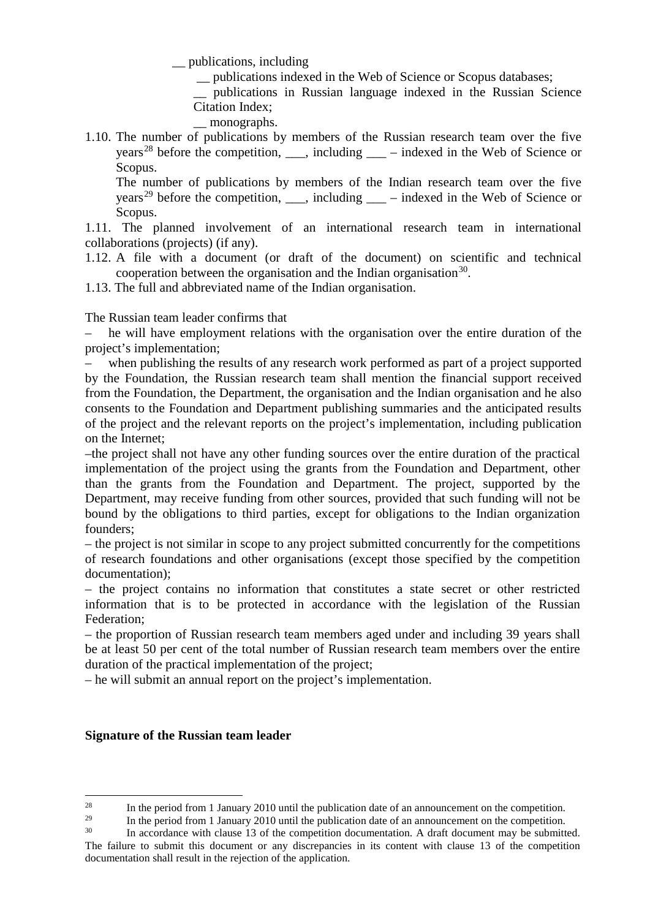\_\_ publications, including

\_\_ publications indexed in the Web of Science or Scopus databases;

\_\_ publications in Russian language indexed in the Russian Science Citation Index;

- monographs.
- 1.10. The number of publications by members of the Russian research team over the five years<sup>[28](#page-8-0)</sup> before the competition,  $\ddot{\text{u}}$ , including  $\ddot{\text{u}}$  – indexed in the Web of Science or Scopus.

The number of publications by members of the Indian research team over the five years<sup>[29](#page-8-1)</sup> before the competition,  $\ddot{\text{u}}$ , including  $\ddot{\text{u}}$  – indexed in the Web of Science or Scopus.

1.11. The planned involvement of an international research team in international collaborations (projects) (if any).

- 1.12. A file with a document (or draft of the document) on scientific and technical cooperation between the organisation and the Indian organisation<sup>30</sup>.
- 1.13. The full and abbreviated name of the Indian organisation.

The Russian team leader confirms that

– he will have employment relations with the organisation over the entire duration of the project's implementation;

– when publishing the results of any research work performed as part of a project supported by the Foundation, the Russian research team shall mention the financial support received from the Foundation, the Department, the organisation and the Indian organisation and he also consents to the Foundation and Department publishing summaries and the anticipated results of the project and the relevant reports on the project's implementation, including publication on the Internet;

–the project shall not have any other funding sources over the entire duration of the practical implementation of the project using the grants from the Foundation and Department, other than the grants from the Foundation and Department. The project, supported by the Department, may receive funding from other sources, provided that such funding will not be bound by the obligations to third parties, except for obligations to the Indian organization founders;

– the project is not similar in scope to any project submitted concurrently for the competitions of research foundations and other organisations (except those specified by the competition documentation);

– the project contains no information that constitutes a state secret or other restricted information that is to be protected in accordance with the legislation of the Russian Federation;

– the proportion of Russian research team members aged under and including 39 years shall be at least 50 per cent of the total number of Russian research team members over the entire duration of the practical implementation of the project;

– he will submit an annual report on the project's implementation.

#### **Signature of the Russian team leader**

<sup>&</sup>lt;sup>28</sup> In the period from 1 January 2010 until the publication date of an announcement on the competition.  $28$ 

<span id="page-8-2"></span><span id="page-8-1"></span><span id="page-8-0"></span><sup>&</sup>lt;sup>29</sup> In the period from 1 January 2010 until the publication date of an announcement on the competition.

In accordance with clause 13 of the competition documentation. A draft document may be submitted. The failure to submit this document or any discrepancies in its content with clause 13 of the competition documentation shall result in the rejection of the application.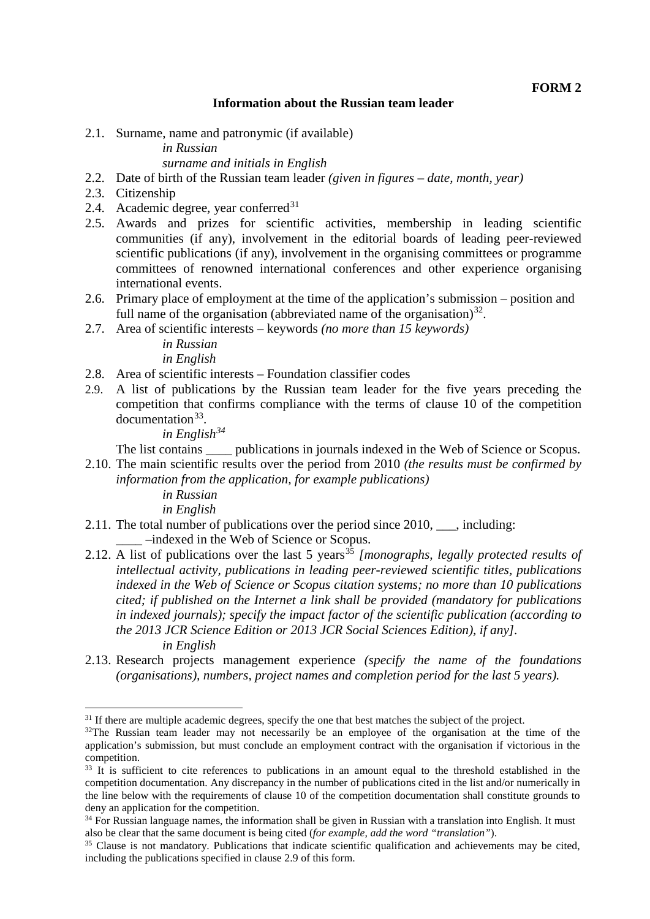#### **Information about the Russian team leader**

2.1. Surname, name and patronymic (if available)

# *in Russian*

## *surname and initials in English*

- 2.2. Date of birth of the Russian team leader *(given in figures – date, month, year)*
- 2.3. Citizenship
- 2.4. Academic degree, year conferred $31$
- 2.5. Awards and prizes for scientific activities, membership in leading scientific communities (if any), involvement in the editorial boards of leading peer-reviewed scientific publications (if any), involvement in the organising committees or programme committees of renowned international conferences and other experience organising international events.
- 2.6. Primary place of employment at the time of the application's submission position and full name of the organisation (abbreviated name of the organisation)<sup>32</sup>.
- 2.7. Area of scientific interests keywords *(no more than 15 keywords)*

*in Russian in English*

- 2.8. Area of scientific interests Foundation classifier codes
- 2.9. A list of publications by the Russian team leader for the five years preceding the competition that confirms compliance with the terms of clause 10 of the competition documentation<sup>[33](#page-9-2)</sup>.

*in English[34](#page-9-3)*

The list contains publications in journals indexed in the Web of Science or Scopus.

- 2.10. The main scientific results over the period from 2010 *(the results must be confirmed by information from the application, for example publications)*
	- *in Russian in English*

-

- 2.11. The total number of publications over the period since 2010, \_\_\_, including: \_\_\_\_ –indexed in the Web of Science or Scopus.
- 2.12. A list of publications over the last 5 years<sup>[35](#page-9-4)</sup> [monographs, legally protected results of *intellectual activity, publications in leading peer-reviewed scientific titles, publications indexed in the Web of Science or Scopus citation systems; no more than 10 publications cited; if published on the Internet a link shall be provided (mandatory for publications in indexed journals); specify the impact factor of the scientific publication (according to the 2013 JCR Science Edition or 2013 JCR Social Sciences Edition), if any]. in English*
- 2.13. Research projects management experience *(specify the name of the foundations (organisations), numbers, project names and completion period for the last 5 years).*

<span id="page-9-0"></span><sup>&</sup>lt;sup>31</sup> If there are multiple academic degrees, specify the one that best matches the subject of the project.

<span id="page-9-1"></span><sup>&</sup>lt;sup>32</sup>The Russian team leader may not necessarily be an employee of the organisation at the time of the application's submission, but must conclude an employment contract with the organisation if victorious in the competition.

<span id="page-9-2"></span><sup>&</sup>lt;sup>33</sup> It is sufficient to cite references to publications in an amount equal to the threshold established in the competition documentation. Any discrepancy in the number of publications cited in the list and/or numerically in the line below with the requirements of clause 10 of the competition documentation shall constitute grounds to deny an application for the competition.

<span id="page-9-3"></span> $34$  For Russian language names, the information shall be given in Russian with a translation into English. It must also be clear that the same document is being cited (for example, add the word "translation").

<span id="page-9-4"></span><sup>&</sup>lt;sup>35</sup> Clause is not mandatory. Publications that indicate scientific qualification and achievements may be cited, including the publications specified in clause 2.9 of this form.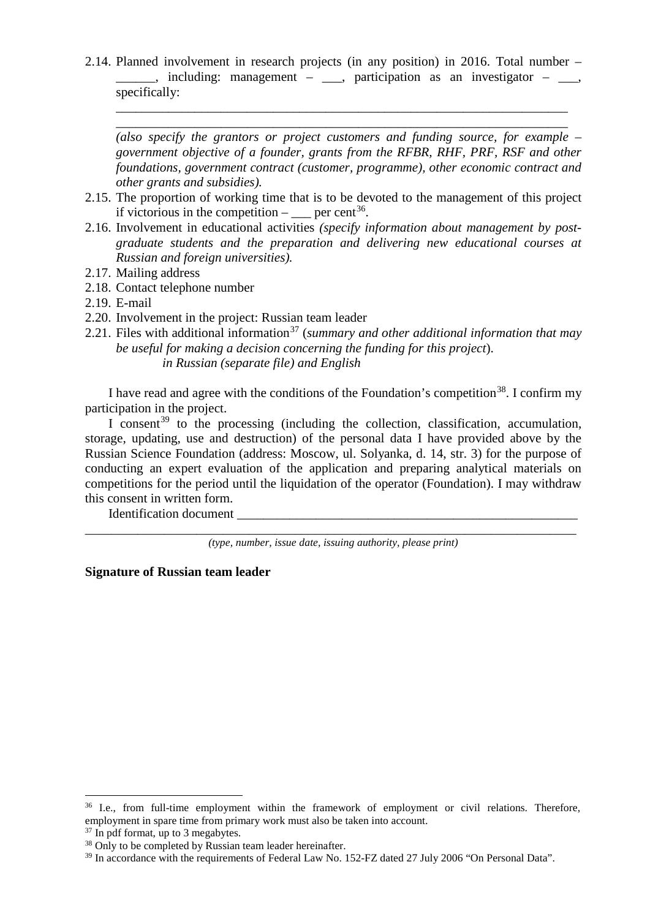2.14. Planned involvement in research projects (in any position) in 2016. Total number –  $\Box$ , including: management –  $\Box$ , participation as an investigator –  $\Box$ , specifically:

\_\_\_\_\_\_\_\_\_\_\_\_\_\_\_\_\_\_\_\_\_\_\_\_\_\_\_\_\_\_\_\_\_\_\_\_\_\_\_\_\_\_\_\_\_\_\_\_\_\_\_\_\_\_\_\_\_\_\_\_\_\_\_\_\_\_\_\_\_ \_\_\_\_\_\_\_\_\_\_\_\_\_\_\_\_\_\_\_\_\_\_\_\_\_\_\_\_\_\_\_\_\_\_\_\_\_\_\_\_\_\_\_\_\_\_\_\_\_\_\_\_\_\_\_\_\_\_\_\_\_\_\_\_\_\_\_\_\_

*(also specify the grantors or project customers and funding source, for example – government objective of a founder, grants from the RFBR, RHF, PRF, RSF and other foundations, government contract (customer, programme), other economic contract and other grants and subsidies).*

- 2.15. The proportion of working time that is to be devoted to the management of this project if victorious in the competition –  $=$  per cent<sup>36</sup>.
- 2.16. Involvement in educational activities *(specify information about management by postgraduate students and the preparation and delivering new educational courses at Russian and foreign universities).*
- 2.17. Mailing address
- 2.18. Contact telephone number
- 2.19. E-mail
- 2.20. Involvement in the project: Russian team leader
- 2.21. Files with additional information<sup>[37](#page-10-1)</sup> (*summary and other additional information that may be useful for making a decision concerning the funding for this project*). *in Russian (separate file) and English*

I have read and agree with the conditions of the Foundation's competition<sup>38</sup>. I confirm my participation in the project.

I consent<sup>[39](#page-10-3)</sup> to the processing (including the collection, classification, accumulation, storage, updating, use and destruction) of the personal data I have provided above by the Russian Science Foundation (address: Moscow, ul. Solyanka, d. 14, str. 3) for the purpose of conducting an expert evaluation of the application and preparing analytical materials on competitions for the period until the liquidation of the operator (Foundation). I may withdraw this consent in written form.

Identification document

\_\_\_\_\_\_\_\_\_\_\_\_\_\_\_\_\_\_\_\_\_\_\_\_\_\_\_\_\_\_\_\_\_\_\_\_\_\_\_\_\_\_\_\_\_\_\_\_\_\_\_\_\_\_\_\_\_\_\_\_\_\_\_\_\_\_\_\_\_\_\_\_\_\_\_ *(type, number, issue date, issuing authority, please print)*

**Signature of Russian team leader**

-

<span id="page-10-0"></span><sup>&</sup>lt;sup>36</sup> I.e., from full-time employment within the framework of employment or civil relations. Therefore, employment in spare time from primary work must also be taken into account.

<span id="page-10-1"></span><sup>&</sup>lt;sup>37</sup> In pdf format, up to 3 megabytes.

<span id="page-10-2"></span><sup>&</sup>lt;sup>38</sup> Only to be completed by Russian team leader hereinafter.

<span id="page-10-3"></span><sup>&</sup>lt;sup>39</sup> In accordance with the requirements of Federal Law No. 152-FZ dated 27 July 2006 "On Personal Data".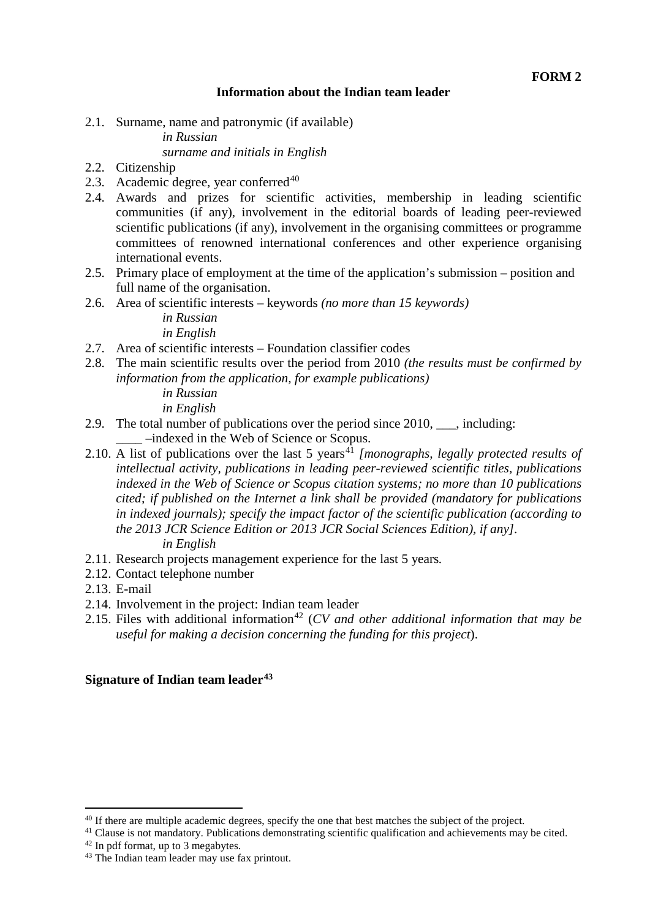### **Information about the Indian team leader**

2.1. Surname, name and patronymic (if available)

*in Russian*

## *surname and initials in English*

- 2.2. Citizenship
- 2.3. Academic degree, year conferred $40$
- 2.4. Awards and prizes for scientific activities, membership in leading scientific communities (if any), involvement in the editorial boards of leading peer-reviewed scientific publications (if any), involvement in the organising committees or programme committees of renowned international conferences and other experience organising international events.
- 2.5. Primary place of employment at the time of the application's submission position and full name of the organisation.
- 2.6. Area of scientific interests keywords *(no more than 15 keywords)*

*in Russian in English*

- 2.7. Area of scientific interests Foundation classifier codes
- 2.8. The main scientific results over the period from 2010 *(the results must be confirmed by information from the application, for example publications)*

*in Russian in English*

- 2.9. The total number of publications over the period since 2010, \_\_\_, including: \_\_\_\_ –indexed in the Web of Science or Scopus.
- 2.10. A list of publications over the last 5 years<sup>[41](#page-11-1)</sup> [monographs, legally protected results of *intellectual activity, publications in leading peer-reviewed scientific titles, publications indexed in the Web of Science or Scopus citation systems; no more than 10 publications cited; if published on the Internet a link shall be provided (mandatory for publications in indexed journals); specify the impact factor of the scientific publication (according to the 2013 JCR Science Edition or 2013 JCR Social Sciences Edition), if any]. in English*
- 2.11. Research projects management experience for the last 5 years*.*
- 2.12. Contact telephone number
- 2.13. E-mail
- 2.14. Involvement in the project: Indian team leader
- 2.15. Files with additional information<sup>[42](#page-11-2)</sup> (*CV and other additional information that may be useful for making a decision concerning the funding for this project*).

#### **Signature of Indian team leader[43](#page-11-3)**

<sup>&</sup>lt;sup>40</sup> If there are multiple academic degrees, specify the one that best matches the subject of the project. <u>.</u>

<span id="page-11-1"></span><span id="page-11-0"></span><sup>&</sup>lt;sup>41</sup> Clause is not mandatory. Publications demonstrating scientific qualification and achievements may be cited.

<span id="page-11-2"></span><sup>&</sup>lt;sup>42</sup> In pdf format, up to 3 megabytes.

<span id="page-11-3"></span><sup>43</sup> The Indian team leader may use fax printout.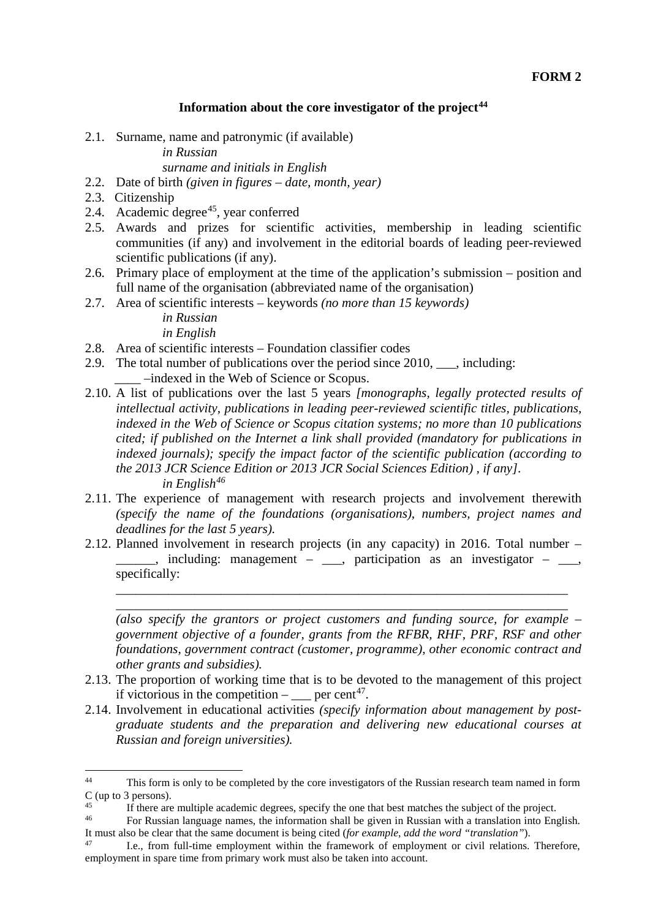#### **Information about the core investigator of the project[44](#page-12-0)**

2.1. Surname, name and patronymic (if available)

*in Russian*

*surname and initials in English*

- 2.2. Date of birth *(given in figures – date, month, year)*
- 2.3. Citizenship
- 2.4. Academic degree<sup>45</sup>, year conferred
- 2.5. Awards and prizes for scientific activities, membership in leading scientific communities (if any) and involvement in the editorial boards of leading peer-reviewed scientific publications (if any).
- 2.6. Primary place of employment at the time of the application's submission position and full name of the organisation (abbreviated name of the organisation)
- 2.7. Area of scientific interests keywords *(no more than 15 keywords)*

*in Russian in English*

- 2.8. Area of scientific interests Foundation classifier codes
- 2.9. The total number of publications over the period since 2010, \_\_\_, including: \_\_\_\_ –indexed in the Web of Science or Scopus.
- 2.10. A list of publications over the last 5 years *[monographs, legally protected results of intellectual activity, publications in leading peer-reviewed scientific titles, publications, indexed in the Web of Science or Scopus citation systems; no more than 10 publications cited; if published on the Internet a link shall provided (mandatory for publications in indexed journals); specify the impact factor of the scientific publication (according to the 2013 JCR Science Edition or 2013 JCR Social Sciences Edition) , if any]. in English[46](#page-12-2)*
- 2.11. The experience of management with research projects and involvement therewith *(specify the name of the foundations (organisations), numbers, project names and deadlines for the last 5 years).*
- 2.12. Planned involvement in research projects (in any capacity) in 2016. Total number  $\mu$ , including: management –  $\mu$ , participation as an investigator –  $\mu$ , specifically:

\_\_\_\_\_\_\_\_\_\_\_\_\_\_\_\_\_\_\_\_\_\_\_\_\_\_\_\_\_\_\_\_\_\_\_\_\_\_\_\_\_\_\_\_\_\_\_\_\_\_\_\_\_\_\_\_\_\_\_\_\_\_\_\_\_\_\_\_\_ \_\_\_\_\_\_\_\_\_\_\_\_\_\_\_\_\_\_\_\_\_\_\_\_\_\_\_\_\_\_\_\_\_\_\_\_\_\_\_\_\_\_\_\_\_\_\_\_\_\_\_\_\_\_\_\_\_\_\_\_\_\_\_\_\_\_\_\_\_

*(also specify the grantors or project customers and funding source, for example – government objective of a founder, grants from the RFBR, RHF, PRF, RSF and other foundations, government contract (customer, programme), other economic contract and other grants and subsidies).*

- 2.13. The proportion of working time that is to be devoted to the management of this project if victorious in the competition  $-\underline{\hspace{2cm}}$  per cent<sup>47</sup>.
- 2.14. Involvement in educational activities *(specify information about management by postgraduate students and the preparation and delivering new educational courses at Russian and foreign universities).*

<span id="page-12-0"></span>This form is only to be completed by the core investigators of the Russian research team named in form  $C$  (up to 3 persons).  $44$ 

<span id="page-12-1"></span><sup>&</sup>lt;sup>45</sup><br>If there are multiple academic degrees, specify the one that best matches the subject of the project.<br><sup>46</sup> Expediant logical provision are the information shall be given in Pussian with a translation into France

<span id="page-12-2"></span><sup>46</sup> For Russian language names, the information shall be given in Russian with a translation into English. It must also be clear that the same document is being cited (*for example, add the word "translation"*). 47 I.e., from full-time employment within the framework of employment or civil relations. Therefore,

<span id="page-12-3"></span>employment in spare time from primary work must also be taken into account.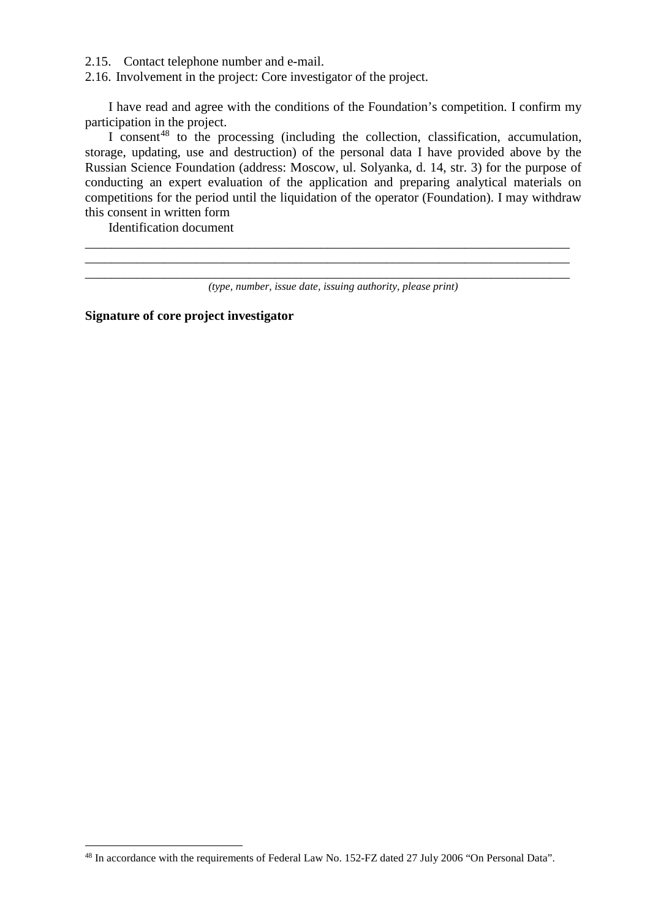2.15. Contact telephone number and e-mail.

2.16. Involvement in the project: Core investigator of the project.

I have read and agree with the conditions of the Foundation's competition. I confirm my participation in the project.

I consent<sup>[48](#page-13-0)</sup> to the processing (including the collection, classification, accumulation, storage, updating, use and destruction) of the personal data I have provided above by the Russian Science Foundation (address: Moscow, ul. Solyanka, d. 14, str. 3) for the purpose of conducting an expert evaluation of the application and preparing analytical materials on competitions for the period until the liquidation of the operator (Foundation). I may withdraw this consent in written form

Identification document

<u>.</u>

\_\_\_\_\_\_\_\_\_\_\_\_\_\_\_\_\_\_\_\_\_\_\_\_\_\_\_\_\_\_\_\_\_\_\_\_\_\_\_\_\_\_\_\_\_\_\_\_\_\_\_\_\_\_\_\_\_\_\_\_\_\_\_\_\_\_\_\_\_\_\_\_\_\_ \_\_\_\_\_\_\_\_\_\_\_\_\_\_\_\_\_\_\_\_\_\_\_\_\_\_\_\_\_\_\_\_\_\_\_\_\_\_\_\_\_\_\_\_\_\_\_\_\_\_\_\_\_\_\_\_\_\_\_\_\_\_\_\_\_\_\_\_\_\_\_\_\_\_

**Signature of core project investigator**

\_\_\_\_\_\_\_\_\_\_\_\_\_\_\_\_\_\_\_\_\_\_\_\_\_\_\_\_\_\_\_\_\_\_\_\_\_\_\_\_\_\_\_\_\_\_\_\_\_\_\_\_\_\_\_\_\_\_\_\_\_\_\_\_\_\_\_\_\_\_\_\_\_\_ *(type, number, issue date, issuing authority, please print)*

<span id="page-13-0"></span><sup>48</sup> In accordance with the requirements of Federal Law No. 152-FZ dated 27 July 2006 "On Personal Data".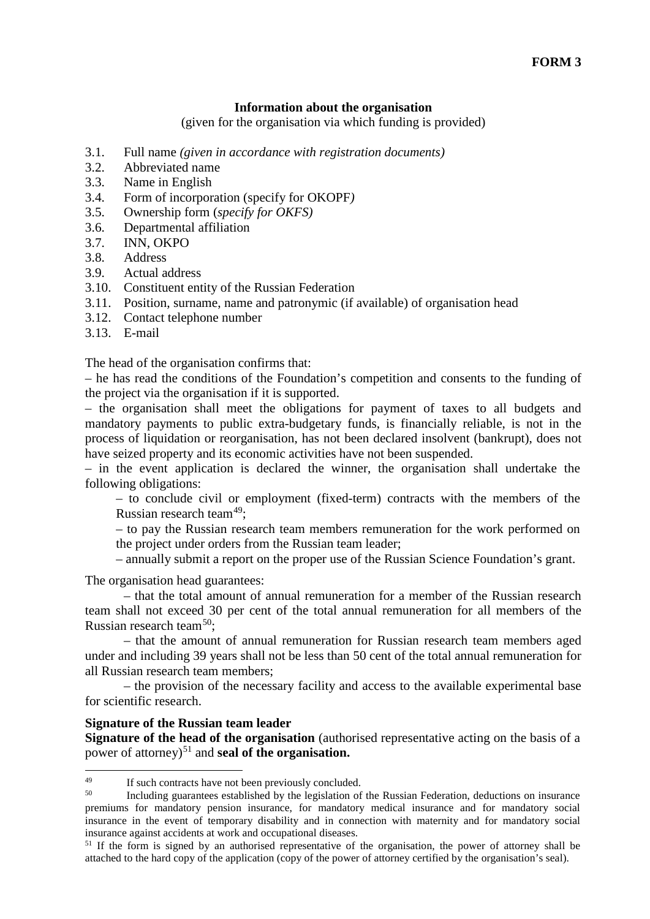#### **Information about the organisation**

(given for the organisation via which funding is provided)

- 3.1. Full name *(given in accordance with registration documents)*
- 3.2. Abbreviated name
- 3.3. Name in English
- 3.4. Form of incorporation (specify for OKOPF*)*
- 3.5. Ownership form (*specify for OKFS)*
- 3.6. Departmental affiliation
- 3.7. INN, OKPO
- 3.8. Address
- 3.9. Actual address
- 3.10. Constituent entity of the Russian Federation
- 3.11. Position, surname, name and patronymic (if available) of organisation head
- 3.12. Contact telephone number
- 3.13. E-mail

The head of the organisation confirms that:

– he has read the conditions of the Foundation's competition and consents to the funding of the project via the organisation if it is supported.

– the organisation shall meet the obligations for payment of taxes to all budgets and mandatory payments to public extra-budgetary funds, is financially reliable, is not in the process of liquidation or reorganisation, has not been declared insolvent (bankrupt), does not have seized property and its economic activities have not been suspended.

– in the event application is declared the winner, the organisation shall undertake the following obligations:

– to conclude civil or employment (fixed-term) contracts with the members of the Russian research team $49$ ;

– to pay the Russian research team members remuneration for the work performed on the project under orders from the Russian team leader;

– annually submit a report on the proper use of the Russian Science Foundation's grant.

The organisation head guarantees:

– that the total amount of annual remuneration for a member of the Russian research team shall not exceed 30 per cent of the total annual remuneration for all members of the Russian research team[50;](#page-14-1)

– that the amount of annual remuneration for Russian research team members aged under and including 39 years shall not be less than 50 cent of the total annual remuneration for all Russian research team members;

– the provision of the necessary facility and access to the available experimental base for scientific research.

#### **Signature of the Russian team leader**

**Signature of the head of the organisation** (authorised representative acting on the basis of a power of attorney)<sup>[51](#page-14-2)</sup> and **seal of the organisation.** 

<span id="page-14-0"></span> $^{49}$  If such contracts have not been previously concluded.<br> $^{50}$  Including quarantees established by the logislation of 49

<span id="page-14-1"></span><sup>50</sup> Including guarantees established by the legislation of the Russian Federation, deductions on insurance premiums for mandatory pension insurance, for mandatory medical insurance and for mandatory social insurance in the event of temporary disability and in connection with maternity and for mandatory social insurance against accidents at work and occupational diseases.

<span id="page-14-2"></span><sup>&</sup>lt;sup>51</sup> If the form is signed by an authorised representative of the organisation, the power of attorney shall be attached to the hard copy of the application (copy of the power of attorney certified by the organisation's seal).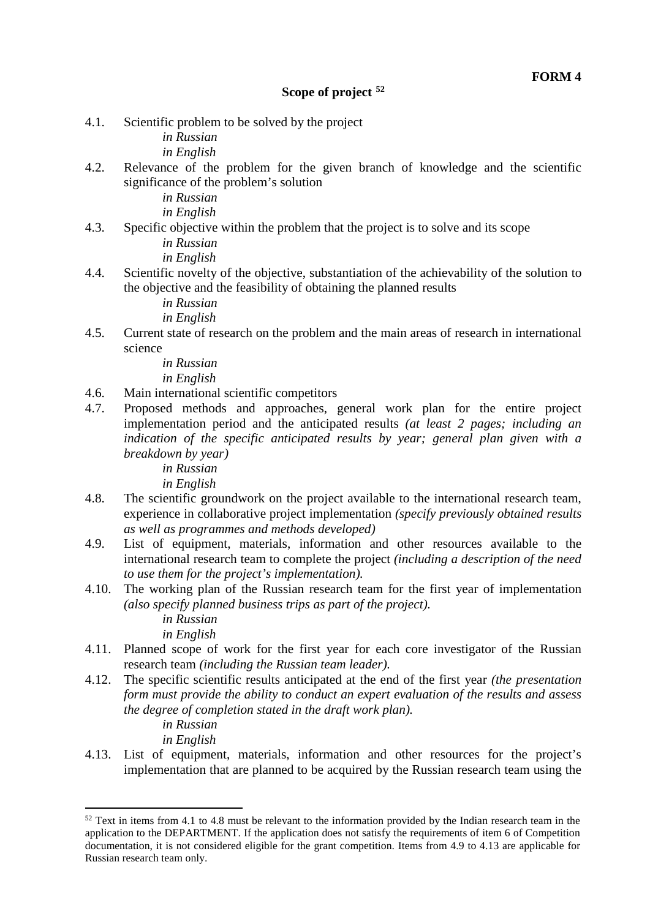4.1. Scientific problem to be solved by the project

*in Russian*

*in English*

4.2. Relevance of the problem for the given branch of knowledge and the scientific significance of the problem's solution

*in Russian*

*in English*

4.3. Specific objective within the problem that the project is to solve and its scope

*in Russian in English*

4.4. Scientific novelty of the objective, substantiation of the achievability of the solution to the objective and the feasibility of obtaining the planned results

*in Russian*

*in English*

4.5. Current state of research on the problem and the main areas of research in international science

> *in Russian in English*

- 4.6. Main international scientific competitors
- 4.7. Proposed methods and approaches, general work plan for the entire project implementation period and the anticipated results *(at least 2 pages; including an indication of the specific anticipated results by year; general plan given with a breakdown by year)*

*in Russian*

- *in English*
- 4.8. The scientific groundwork on the project available to the international research team, experience in collaborative project implementation *(specify previously obtained results as well as programmes and methods developed)*
- 4.9. List of equipment, materials, information and other resources available to the international research team to complete the project *(including a description of the need to use them for the project's implementation).*
- 4.10. The working plan of the Russian research team for the first year of implementation *(also specify planned business trips as part of the project).*

*in Russian in English*

- 4.11. Planned scope of work for the first year for each core investigator of the Russian research team *(including the Russian team leader).*
- 4.12. The specific scientific results anticipated at the end of the first year *(the presentation form must provide the ability to conduct an expert evaluation of the results and assess the degree of completion stated in the draft work plan).*

*in Russian*

<u>.</u>

*in English*

4.13. List of equipment, materials, information and other resources for the project's implementation that are planned to be acquired by the Russian research team using the

<span id="page-15-0"></span> $52$  Text in items from 4.1 to 4.8 must be relevant to the information provided by the Indian research team in the application to the DEPARTMENT. If the application does not satisfy the requirements of item 6 of Competition documentation, it is not considered eligible for the grant competition. Items from 4.9 to 4.13 are applicable for Russian research team only.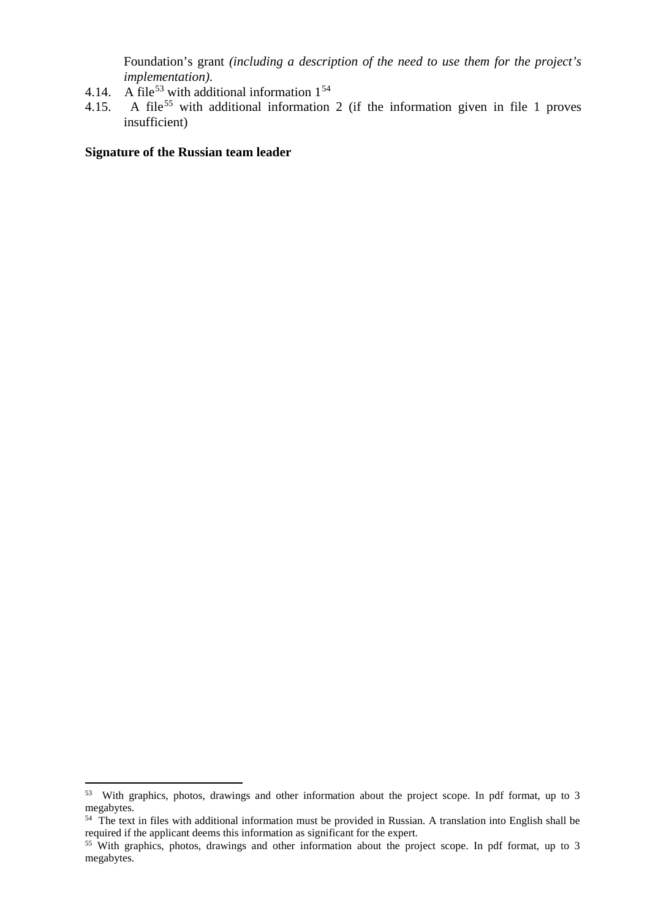Foundation's grant *(including a description of the need to use them for the project's implementation)*.

- 4.14. A file<sup>[53](#page-16-0)</sup> with additional information  $1^{54}$  $1^{54}$  $1^{54}$
- 4.15. A file<sup>[55](#page-16-2)</sup> with additional information 2 (if the information given in file 1 proves insufficient)

#### **Signature of the Russian team leader**

<span id="page-16-0"></span><sup>53</sup> With graphics, photos, drawings and other information about the project scope. In pdf format, up to 3 megabytes.

<span id="page-16-1"></span> $54$  The text in files with additional information must be provided in Russian. A translation into English shall be required if the applicant deems this information as significant for the expert.

<span id="page-16-2"></span><sup>&</sup>lt;sup>55</sup> With graphics, photos, drawings and other information about the project scope. In pdf format, up to 3 megabytes.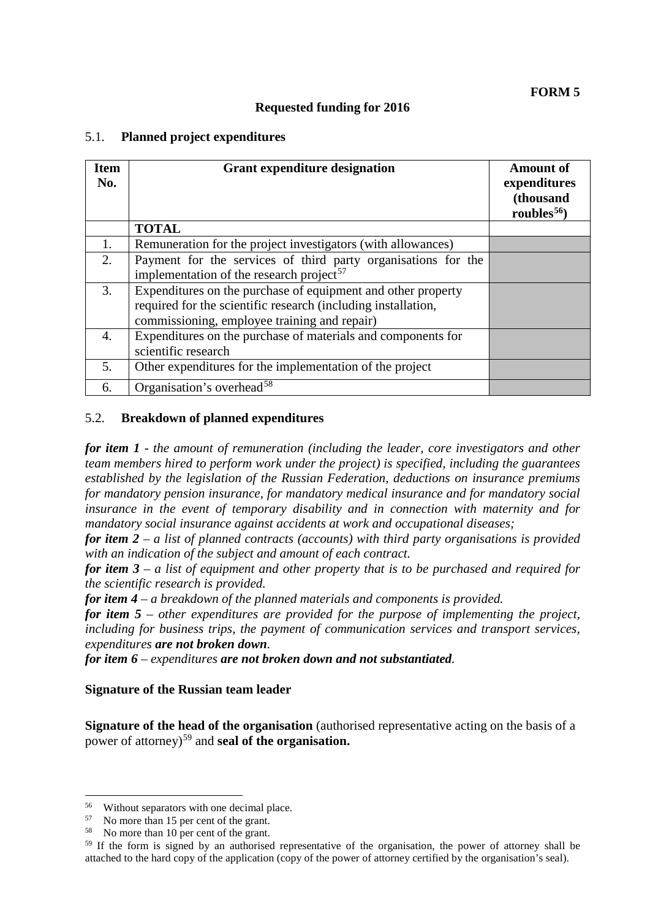### **Requested funding for 2016**

#### 5.1. **Planned project expenditures**

| <b>Item</b><br>No. | <b>Grant expenditure designation</b>                                                                                                                                          | <b>Amount of</b><br>expenditures<br>(thousand<br>roubles $56$ |
|--------------------|-------------------------------------------------------------------------------------------------------------------------------------------------------------------------------|---------------------------------------------------------------|
|                    | <b>TOTAL</b>                                                                                                                                                                  |                                                               |
| 1.                 | Remuneration for the project investigators (with allowances)                                                                                                                  |                                                               |
| 2.                 | Payment for the services of third party organisations for the<br>implementation of the research project <sup>57</sup>                                                         |                                                               |
| 3.                 | Expenditures on the purchase of equipment and other property<br>required for the scientific research (including installation,<br>commissioning, employee training and repair) |                                                               |
| $\overline{4}$ .   | Expenditures on the purchase of materials and components for<br>scientific research                                                                                           |                                                               |
| 5.                 | Other expenditures for the implementation of the project                                                                                                                      |                                                               |
| 6.                 | Organisation's overhead <sup>58</sup>                                                                                                                                         |                                                               |

#### 5.2. **Breakdown of planned expenditures**

*for item 1 - the amount of remuneration (including the leader, core investigators and other team members hired to perform work under the project) is specified, including the guarantees established by the legislation of the Russian Federation, deductions on insurance premiums for mandatory pension insurance, for mandatory medical insurance and for mandatory social insurance in the event of temporary disability and in connection with maternity and for mandatory social insurance against accidents at work and occupational diseases;* 

*for item 2* – *a list of planned contracts (accounts) with third party organisations is provided with an indication of the subject and amount of each contract.*

*for item 3 – a list of equipment and other property that is to be purchased and required for the scientific research is provided.*

*for item 4 – a breakdown of the planned materials and components is provided.*

*for item 5 – other expenditures are provided for the purpose of implementing the project, including for business trips, the payment of communication services and transport services, expenditures are not broken down.*

*for item 6 – expenditures are not broken down and not substantiated.* 

#### **Signature of the Russian team leader**

**Signature of the head of the organisation** (authorised representative acting on the basis of a power of attorney)[59](#page-17-3) and **seal of the organisation.**

-

<span id="page-17-0"></span><sup>&</sup>lt;sup>56</sup> Without separators with one decimal place.<br> $\frac{57}{2}$  No more than 15 per cent of the grant

<span id="page-17-1"></span> $57$  No more than 15 per cent of the grant.<br> $58$  No more than 10 per cent of the grant.

<span id="page-17-2"></span>

<span id="page-17-3"></span><sup>&</sup>lt;sup>59</sup> If the form is signed by an authorised representative of the organisation, the power of attorney shall be attached to the hard copy of the application (copy of the power of attorney certified by the organisation's seal).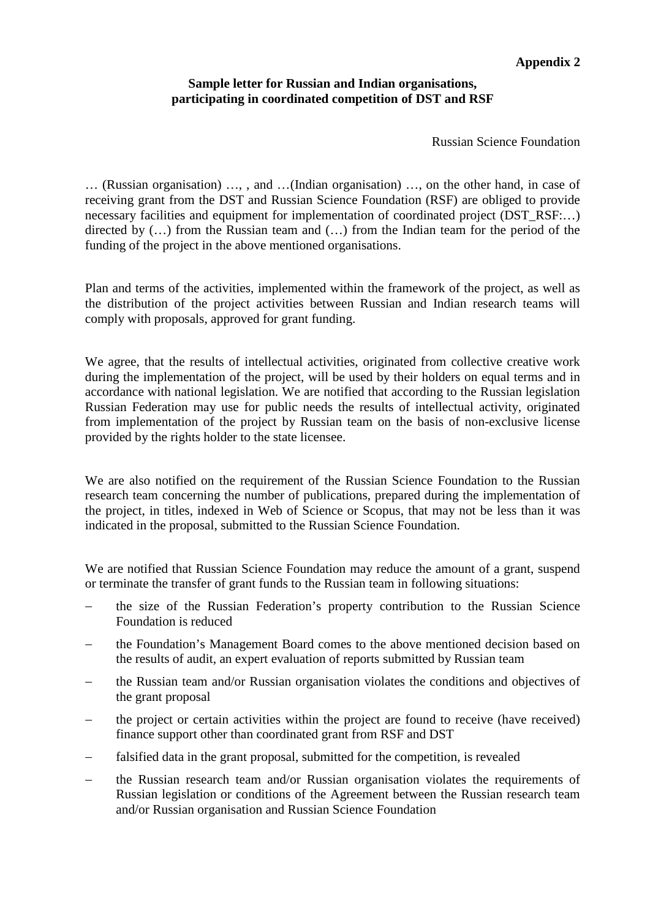## **Appendix 2**

#### **Sample letter for Russian and Indian organisations, participating in coordinated competition of DST and RSF**

Russian Science Foundation

… (Russian organisation) …, , and …(Indian organisation) …, on the other hand, in case of receiving grant from the DST and Russian Science Foundation (RSF) are obliged to provide necessary facilities and equipment for implementation of coordinated project (DST\_RSF:…) directed by (…) from the Russian team and (…) from the Indian team for the period of the funding of the project in the above mentioned organisations.

Plan and terms of the activities, implemented within the framework of the project, as well as the distribution of the project activities between Russian and Indian research teams will comply with proposals, approved for grant funding.

We agree, that the results of intellectual activities, originated from collective creative work during the implementation of the project, will be used by their holders on equal terms and in accordance with national legislation. We are notified that according to the Russian legislation Russian Federation may use for public needs the results of intellectual activity, originated from implementation of the project by Russian team on the basis of non-exclusive license provided by the rights holder to the state licensee.

We are also notified on the requirement of the Russian Science Foundation to the Russian research team concerning the number of publications, prepared during the implementation of the project, in titles, indexed in Web of Science or Scopus, that may not be less than it was indicated in the proposal, submitted to the Russian Science Foundation.

We are notified that Russian Science Foundation may reduce the amount of a grant, suspend or terminate the transfer of grant funds to the Russian team in following situations:

- the size of the Russian Federation's property contribution to the Russian Science Foundation is reduced
- the Foundation's Management Board comes to the above mentioned decision based on the results of audit, an expert evaluation of reports submitted by Russian team
- the Russian team and/or Russian organisation violates the conditions and objectives of the grant proposal
- the project or certain activities within the project are found to receive (have received) finance support other than coordinated grant from RSF and DST
- falsified data in the grant proposal, submitted for the competition, is revealed
- the Russian research team and/or Russian organisation violates the requirements of Russian legislation or conditions of the Agreement between the Russian research team and/or Russian organisation and Russian Science Foundation